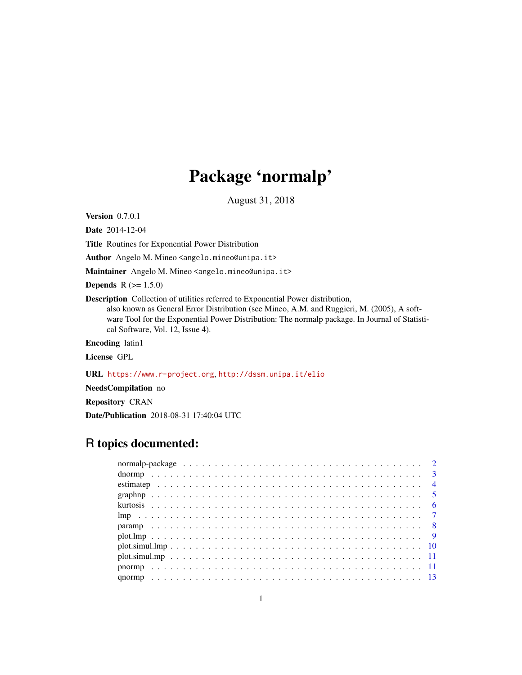# Package 'normalp'

August 31, 2018

<span id="page-0-0"></span>Version 0.7.0.1

Date 2014-12-04

Title Routines for Exponential Power Distribution

Author Angelo M. Mineo <angelo.mineo@unipa.it>

Maintainer Angelo M. Mineo <angelo.mineo@unipa.it>

**Depends**  $R (= 1.5.0)$ 

Description Collection of utilities referred to Exponential Power distribution,

also known as General Error Distribution (see Mineo, A.M. and Ruggieri, M. (2005), A software Tool for the Exponential Power Distribution: The normalp package. In Journal of Statistical Software, Vol. 12, Issue 4).

Encoding latin1

License GPL

URL <https://www.r-project.org>, <http://dssm.unipa.it/elio>

NeedsCompilation no

Repository CRAN

Date/Publication 2018-08-31 17:40:04 UTC

# R topics documented: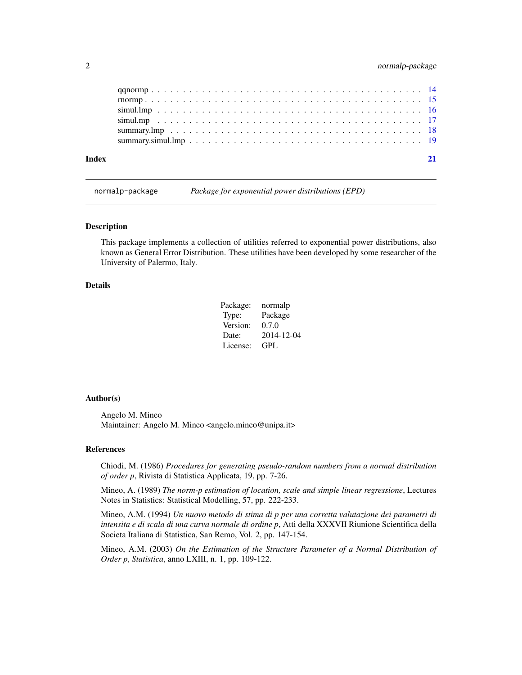<span id="page-1-0"></span>

| Index |  |
|-------|--|
|       |  |
|       |  |
|       |  |
|       |  |
|       |  |
|       |  |

normalp-package *Package for exponential power distributions (EPD)*

#### Description

This package implements a collection of utilities referred to exponential power distributions, also known as General Error Distribution. These utilities have been developed by some researcher of the University of Palermo, Italy.

#### Details

| Package: | normalp    |
|----------|------------|
| Type:    | Package    |
| Version: | 0.7.0      |
| Date:    | 2014-12-04 |
| License: | GPL        |

#### Author(s)

Angelo M. Mineo Maintainer: Angelo M. Mineo <angelo.mineo@unipa.it>

#### References

Chiodi, M. (1986) *Procedures for generating pseudo-random numbers from a normal distribution of order p*, Rivista di Statistica Applicata, 19, pp. 7-26.

Mineo, A. (1989) *The norm-p estimation of location, scale and simple linear regressione*, Lectures Notes in Statistics: Statistical Modelling, 57, pp. 222-233.

Mineo, A.M. (1994) *Un nuovo metodo di stima di p per una corretta valutazione dei parametri di intensita e di scala di una curva normale di ordine p*, Atti della XXXVII Riunione Scientifica della Societa Italiana di Statistica, San Remo, Vol. 2, pp. 147-154.

Mineo, A.M. (2003) *On the Estimation of the Structure Parameter of a Normal Distribution of Order p*, *Statistica*, anno LXIII, n. 1, pp. 109-122.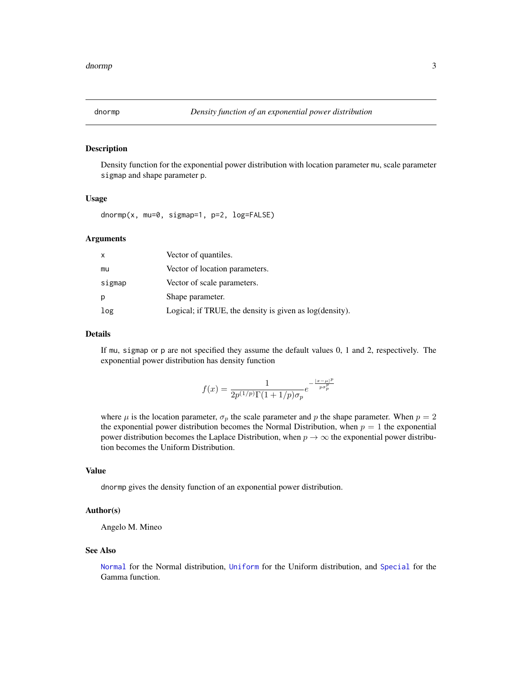<span id="page-2-0"></span>

#### Description

Density function for the exponential power distribution with location parameter mu, scale parameter sigmap and shape parameter p.

#### Usage

dnormp(x, mu=0, sigmap=1, p=2, log=FALSE)

#### Arguments

| x      | Vector of quantiles.                                    |
|--------|---------------------------------------------------------|
| mu     | Vector of location parameters.                          |
| sigmap | Vector of scale parameters.                             |
| р      | Shape parameter.                                        |
| log    | Logical; if TRUE, the density is given as log(density). |

#### Details

If mu, sigmap or p are not specified they assume the default values 0, 1 and 2, respectively. The exponential power distribution has density function

$$
f(x) = \frac{1}{2p^{(1/p)}\Gamma(1+1/p)\sigma_p}e^{-\frac{|x-\mu|^p}{p\sigma_p^p}}
$$

where  $\mu$  is the location parameter,  $\sigma_p$  the scale parameter and p the shape parameter. When  $p = 2$ the exponential power distribution becomes the Normal Distribution, when  $p = 1$  the exponential power distribution becomes the Laplace Distribution, when  $p \to \infty$  the exponential power distribution becomes the Uniform Distribution.

#### Value

dnormp gives the density function of an exponential power distribution.

#### Author(s)

Angelo M. Mineo

#### See Also

[Normal](#page-0-0) for the Normal distribution, [Uniform](#page-0-0) for the Uniform distribution, and [Special](#page-0-0) for the Gamma function.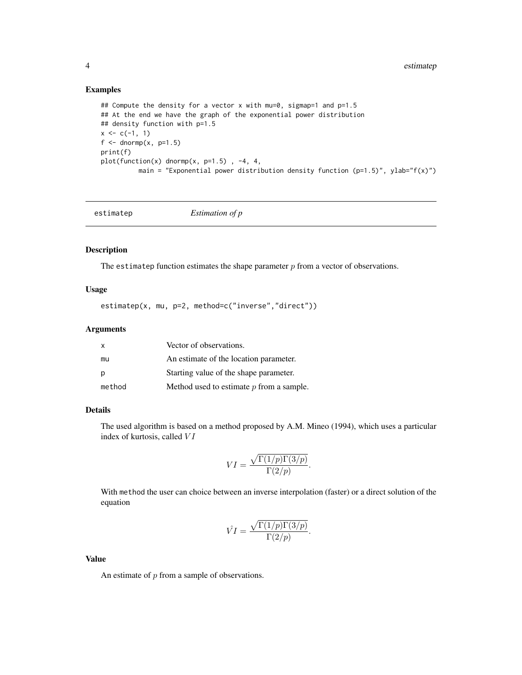#### Examples

```
## Compute the density for a vector x with mu=0, sigmap=1 and p=1.5
## At the end we have the graph of the exponential power distribution
## density function with p=1.5
x \leftarrow c(-1, 1)f \leftarrow \text{dnormp}(x, p=1.5)print(f)
plot(function(x) dnormp(x, p=1.5), -4, 4,
          main = "Exponential power distribution density function (p=1.5)", ylab="f(x)")
```

|--|--|

#### Description

The estimatep function estimates the shape parameter  $p$  from a vector of observations.

#### Usage

estimatep(x, mu, p=2, method=c("inverse","direct"))

#### Arguments

| $\mathsf{x}$ | Vector of observations.                    |
|--------------|--------------------------------------------|
| mu           | An estimate of the location parameter.     |
| p            | Starting value of the shape parameter.     |
| method       | Method used to estimate $p$ from a sample. |

#### Details

The used algorithm is based on a method proposed by A.M. Mineo (1994), which uses a particular index of kurtosis, called  $VI$ 

$$
VI = \frac{\sqrt{\Gamma(1/p)\Gamma(3/p)}}{\Gamma(2/p)}.
$$

With method the user can choice between an inverse interpolation (faster) or a direct solution of the equation

$$
\hat{VI} = \frac{\sqrt{\Gamma(1/p)\Gamma(3/p)}}{\Gamma(2/p)}.
$$

Value

An estimate of p from a sample of observations.

<span id="page-3-0"></span>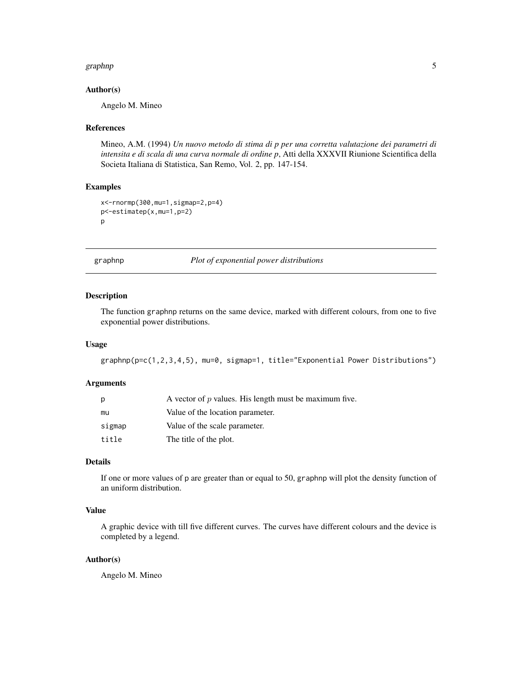#### <span id="page-4-0"></span>graphnp 55 to 55 and 55 and 55 and 55 and 55 and 55 and 55 and 55 and 55 and 55 and 55 and 55 and 55 and 55 and 55 and 55 and 55 and 55 and 55 and 55 and 55 and 55 and 55 and 55 and 55 and 55 and 55 and 55 and 55 and 55 an

#### Author(s)

Angelo M. Mineo

#### References

Mineo, A.M. (1994) *Un nuovo metodo di stima di p per una corretta valutazione dei parametri di intensita e di scala di una curva normale di ordine p*, Atti della XXXVII Riunione Scientifica della Societa Italiana di Statistica, San Remo, Vol. 2, pp. 147-154.

#### Examples

```
x<-rnormp(300,mu=1,sigmap=2,p=4)
p<-estimatep(x,mu=1,p=2)
p
```
graphnp *Plot of exponential power distributions*

#### Description

The function graphnp returns on the same device, marked with different colours, from one to five exponential power distributions.

#### Usage

```
graphnp(p=c(1,2,3,4,5), mu=0, sigmap=1, title="Exponential Power Distributions")
```
#### **Arguments**

| р      | A vector of $p$ values. His length must be maximum five. |
|--------|----------------------------------------------------------|
| mu     | Value of the location parameter.                         |
| sigmap | Value of the scale parameter.                            |
| title  | The title of the plot.                                   |

#### Details

If one or more values of p are greater than or equal to 50, graphnp will plot the density function of an uniform distribution.

#### Value

A graphic device with till five different curves. The curves have different colours and the device is completed by a legend.

#### Author(s)

Angelo M. Mineo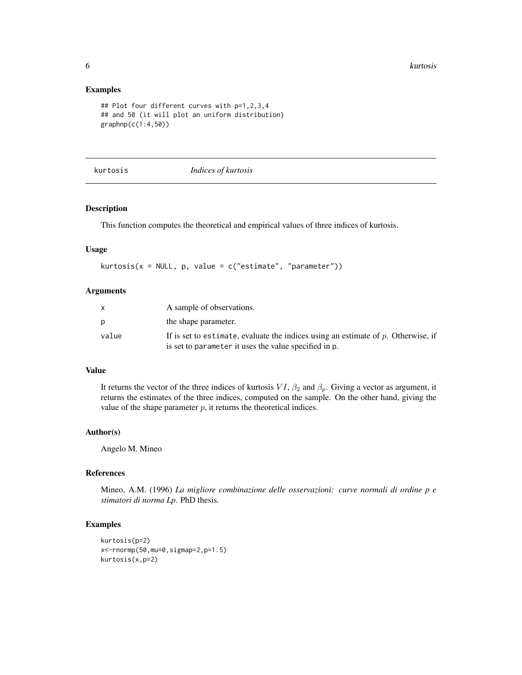**6** kurtosis **6** kurtosis **6** kurtosis **6** kurtosis **6** kurtosis **6** kurtosis **6** kurtosis **6** kurtosis **6** kurtosis **6** kurtosis **6** kurtosis **6** kurtosis **6** kurtosis **6** kurtosis **6** kurtosis **6** kurtosis **6** kurtosis

#### Examples

```
## Plot four different curves with p=1,2,3,4
## and 50 (it will plot an uniform distribution)
graphnp(c(1:4,50))
```
kurtosis *Indices of kurtosis*

#### Description

This function computes the theoretical and empirical values of three indices of kurtosis.

#### Usage

```
kurtosis(x = NULL, p, value = c("estimate", "parameter"))
```
#### Arguments

|       | A sample of observations.                                                                                                                     |
|-------|-----------------------------------------------------------------------------------------------------------------------------------------------|
|       | the shape parameter.                                                                                                                          |
| value | If is set to estimate, evaluate the indices using an estimate of $p$ . Otherwise, if<br>is set to parameter it uses the value specified in p. |

#### Value

It returns the vector of the three indices of kurtosis  $VI$ ,  $\beta_2$  and  $\beta_p$ . Giving a vector as argument, it returns the estimates of the three indices, computed on the sample. On the other hand, giving the value of the shape parameter  $p$ , it returns the theoretical indices.

#### Author(s)

Angelo M. Mineo

## References

Mineo, A.M. (1996) *La migliore combinazione delle osservazioni: curve normali di ordine p e stimatori di norma Lp*. PhD thesis.

#### Examples

```
kurtosis(p=2)
x<-rnormp(50,mu=0,sigmap=2,p=1.5)
kurtosis(x,p=2)
```
<span id="page-5-0"></span>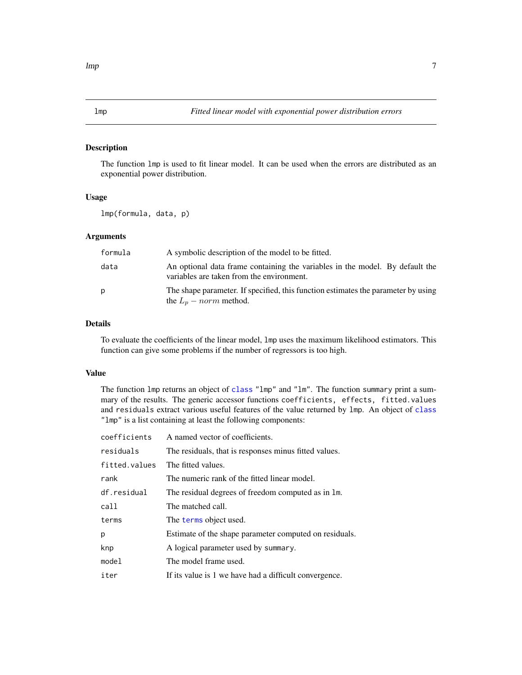#### <span id="page-6-1"></span><span id="page-6-0"></span>Description

The function lmp is used to fit linear model. It can be used when the errors are distributed as an exponential power distribution.

#### Usage

lmp(formula, data, p)

#### Arguments

| formula | A symbolic description of the model to be fitted.                                                                         |
|---------|---------------------------------------------------------------------------------------------------------------------------|
| data    | An optional data frame containing the variables in the model. By default the<br>variables are taken from the environment. |
| p       | The shape parameter. If specified, this function estimates the parameter by using<br>the $L_n$ – norm method.             |

#### Details

To evaluate the coefficients of the linear model, lmp uses the maximum likelihood estimators. This function can give some problems if the number of regressors is too high.

#### Value

The function lmp returns an object of [class](#page-0-0) "lmp" and "lm". The function summary print a summary of the results. The generic accessor functions coefficients, effects, fitted.values and residuals extract various useful features of the value returned by lmp. An object of [class](#page-0-0) "lmp" is a list containing at least the following components:

| coefficients  | A named vector of coefficients.                        |
|---------------|--------------------------------------------------------|
| residuals     | The residuals, that is responses minus fitted values.  |
| fitted.values | The fitted values.                                     |
| rank          | The numeric rank of the fitted linear model.           |
| df.residual   | The residual degrees of freedom computed as in 1m.     |
| call          | The matched call.                                      |
| terms         | The terms object used.                                 |
| р             | Estimate of the shape parameter computed on residuals. |
| knp           | A logical parameter used by summary.                   |
| model         | The model frame used.                                  |
| iter          | If its value is 1 we have had a difficult convergence. |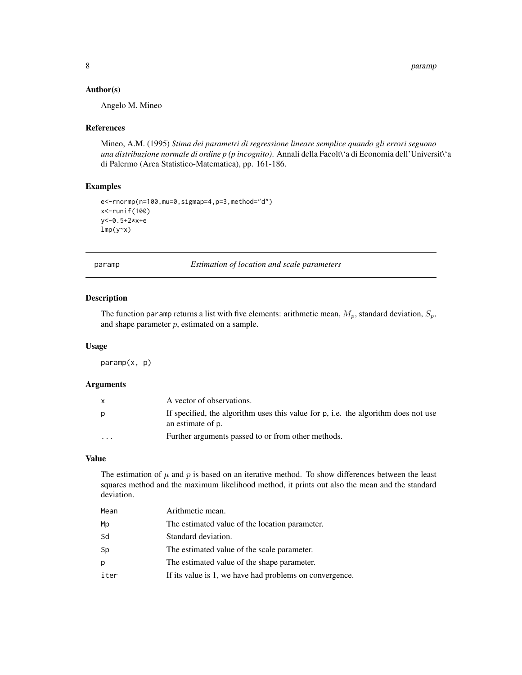#### <span id="page-7-0"></span>Author(s)

Angelo M. Mineo

#### References

Mineo, A.M. (1995) *Stima dei parametri di regressione lineare semplice quando gli errori seguono una distribuzione normale di ordine p (p incognito)*. Annali della Facolt\'a di Economia dell'Universit\'a di Palermo (Area Statistico-Matematica), pp. 161-186.

#### Examples

```
e<-rnormp(n=100,mu=0,sigmap=4,p=3,method="d")
x<-runif(100)
y<-0.5+2*x+e
lmp(y~x)
```
<span id="page-7-1"></span>paramp *Estimation of location and scale parameters*

#### Description

The function paramp returns a list with five elements: arithmetic mean,  $M_p$ , standard deviation,  $S_p$ , and shape parameter  $p$ , estimated on a sample.

#### Usage

paramp(x, p)

#### Arguments

| X        | A vector of observations.                                                                               |
|----------|---------------------------------------------------------------------------------------------------------|
| p        | If specified, the algorithm uses this value for p, i.e. the algorithm does not use<br>an estimate of p. |
| $\cdots$ | Further arguments passed to or from other methods.                                                      |

#### Value

The estimation of  $\mu$  and  $p$  is based on an iterative method. To show differences between the least squares method and the maximum likelihood method, it prints out also the mean and the standard deviation.

| Mean | Arithmetic mean.                                        |
|------|---------------------------------------------------------|
| Mp   | The estimated value of the location parameter.          |
| Sd   | Standard deviation.                                     |
| Sp   | The estimated value of the scale parameter.             |
| b.   | The estimated value of the shape parameter.             |
| iter | If its value is 1, we have had problems on convergence. |
|      |                                                         |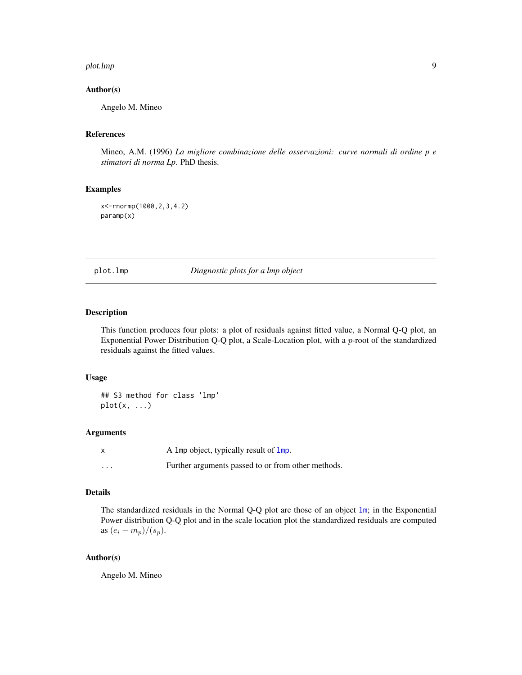#### <span id="page-8-0"></span>plot.lmp 9

#### Author(s)

Angelo M. Mineo

### References

Mineo, A.M. (1996) *La migliore combinazione delle osservazioni: curve normali di ordine p e stimatori di norma Lp*. PhD thesis.

#### Examples

x<-rnormp(1000,2,3,4.2) paramp(x)

plot.lmp *Diagnostic plots for a lmp object*

#### Description

This function produces four plots: a plot of residuals against fitted value, a Normal Q-Q plot, an Exponential Power Distribution Q-Q plot, a Scale-Location plot, with a p-root of the standardized residuals against the fitted values.

#### Usage

## S3 method for class 'lmp'  $plot(x, \ldots)$ 

#### Arguments

|          | A 1mp object, typically result of $\mathsf{Imp}$ . |
|----------|----------------------------------------------------|
| $\cdots$ | Further arguments passed to or from other methods. |

#### Details

The standardized residuals in the Normal Q-Q plot are those of an object [lm](#page-0-0); in the Exponential Power distribution Q-Q plot and in the scale location plot the standardized residuals are computed as  $(e_i - m_p)/(s_p)$ .

#### Author(s)

Angelo M. Mineo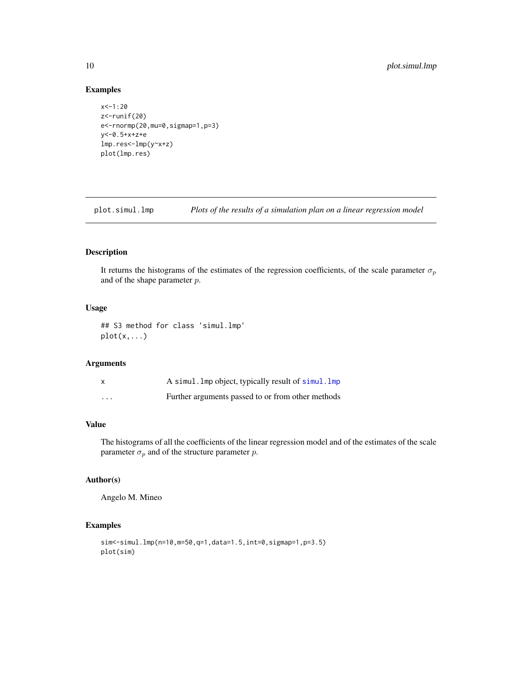#### Examples

```
x < -1:20z<-runif(20)
e<-rnormp(20,mu=0,sigmap=1,p=3)
y<-0.5+x+z+e
lmp.res<-lmp(y~x+z)
plot(lmp.res)
```
plot.simul.lmp *Plots of the results of a simulation plan on a linear regression model*

#### Description

It returns the histograms of the estimates of the regression coefficients, of the scale parameter  $\sigma_p$ and of the shape parameter p.

#### Usage

## S3 method for class 'simul.lmp' plot(x,...)

#### Arguments

|          | A simul. Imp object, typically result of simul. Imp |
|----------|-----------------------------------------------------|
| $\cdots$ | Further arguments passed to or from other methods   |

#### Value

The histograms of all the coefficients of the linear regression model and of the estimates of the scale parameter  $\sigma_p$  and of the structure parameter p.

#### Author(s)

Angelo M. Mineo

### Examples

```
sim<-simul.lmp(n=10,m=50,q=1,data=1.5,int=0,sigmap=1,p=3.5)
plot(sim)
```
<span id="page-9-0"></span>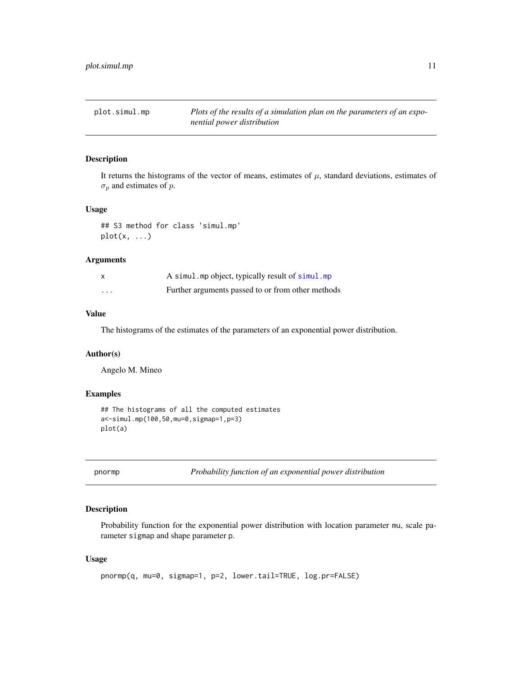<span id="page-10-0"></span>plot.simul.mp *Plots of the results of a simulation plan on the parameters of an exponential power distribution*

#### Description

It returns the histograms of the vector of means, estimates of  $\mu$ , standard deviations, estimates of  $\sigma_p$  and estimates of p.

#### Usage

## S3 method for class 'simul.mp'  $plot(x, \ldots)$ 

#### Arguments

|          | A simul.mp object, typically result of simul.mp   |
|----------|---------------------------------------------------|
| $\cdots$ | Further arguments passed to or from other methods |

#### Value

The histograms of the estimates of the parameters of an exponential power distribution.

#### Author(s)

Angelo M. Mineo

#### Examples

```
## The histograms of all the computed estimates
a<-simul.mp(100,50,mu=0,sigmap=1,p=3)
plot(a)
```
pnormp *Probability function of an exponential power distribution*

#### Description

Probability function for the exponential power distribution with location parameter mu, scale parameter sigmap and shape parameter p.

#### Usage

```
pnormp(q, mu=0, sigmap=1, p=2, lower.tail=TRUE, log.pr=FALSE)
```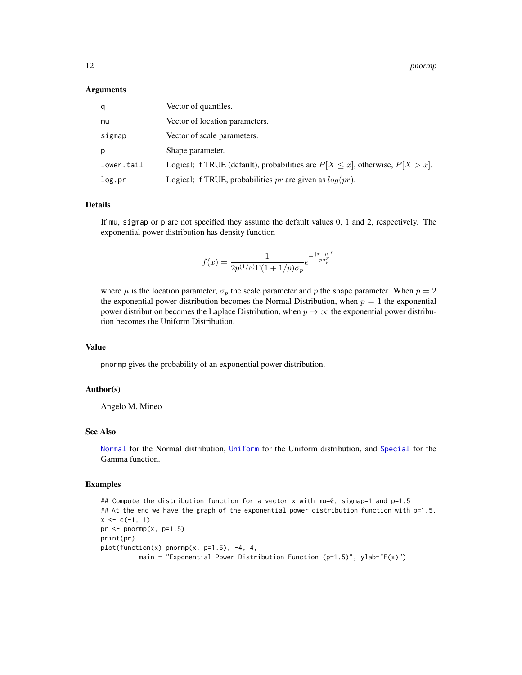<span id="page-11-0"></span>12 pnormp pnorm pnorm pnorm pnorm pnorm pnorm pnorm pnorm pnorm pnorm pnorm pnorm pnorm pnorm pnorm pnorm pnorm pnorm pnorm pnorm pnorm pnorm pnorm pnorm pnorm pnorm pnorm pnorm pnorm pnorm pnorm pnorm pnorm pnorm pnorm pn

#### **Arguments**

| q          | Vector of quantiles.                                                                 |
|------------|--------------------------------------------------------------------------------------|
| mu         | Vector of location parameters.                                                       |
| sigmap     | Vector of scale parameters.                                                          |
| D          | Shape parameter.                                                                     |
| lower.tail | Logical; if TRUE (default), probabilities are $P[X \le x]$ , otherwise, $P[X > x]$ . |
| log.pr     | Logical; if TRUE, probabilities $pr$ are given as $log(pr)$ .                        |

#### Details

If mu, sigmap or p are not specified they assume the default values 0, 1 and 2, respectively. The exponential power distribution has density function

$$
f(x)=\frac{1}{2p^{(1/p)}\Gamma(1+1/p)\sigma_p}e^{-\frac{|x-\mu|^p}{p\sigma_p^p}}
$$

where  $\mu$  is the location parameter,  $\sigma_p$  the scale parameter and p the shape parameter. When  $p = 2$ the exponential power distribution becomes the Normal Distribution, when  $p = 1$  the exponential power distribution becomes the Laplace Distribution, when  $p \to \infty$  the exponential power distribution becomes the Uniform Distribution.

#### Value

pnormp gives the probability of an exponential power distribution.

#### Author(s)

Angelo M. Mineo

#### See Also

[Normal](#page-0-0) for the Normal distribution, [Uniform](#page-0-0) for the Uniform distribution, and [Special](#page-0-0) for the Gamma function.

#### Examples

## Compute the distribution function for a vector x with mu=0, sigmap=1 and p=1.5 ## At the end we have the graph of the exponential power distribution function with p=1.5.  $x \leftarrow c(-1, 1)$ pr  $\leq$  pnormp $(x, p=1.5)$ print(pr) plot(function(x) pnormp(x, p=1.5), -4, 4, main = "Exponential Power Distribution Function (p=1.5)", ylab="F(x)")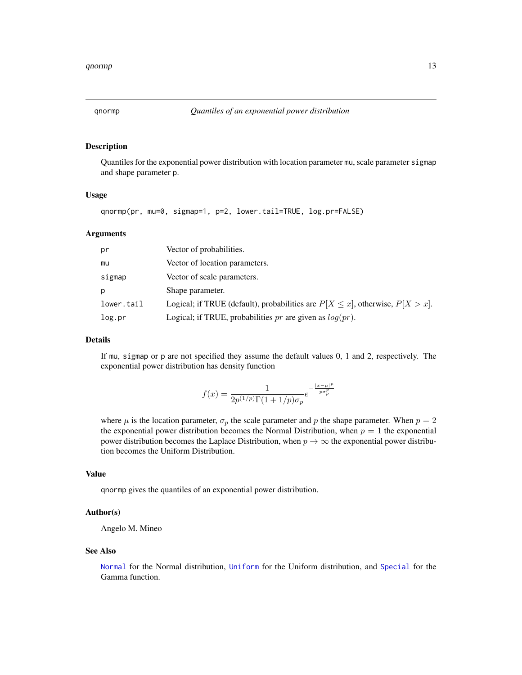#### <span id="page-12-0"></span>Description

Quantiles for the exponential power distribution with location parameter mu, scale parameter sigmap and shape parameter p.

#### Usage

```
qnormp(pr, mu=0, sigmap=1, p=2, lower.tail=TRUE, log.pr=FALSE)
```
#### Arguments

| pr         | Vector of probabilities.                                                              |
|------------|---------------------------------------------------------------------------------------|
| mu         | Vector of location parameters.                                                        |
| sigmap     | Vector of scale parameters.                                                           |
| p          | Shape parameter.                                                                      |
| lower.tail | Logical; if TRUE (default), probabilities are $P[X \leq x]$ , otherwise, $P[X > x]$ . |
| log.pr     | Logical; if TRUE, probabilities $pr$ are given as $log(pr)$ .                         |

#### Details

If mu, sigmap or p are not specified they assume the default values 0, 1 and 2, respectively. The exponential power distribution has density function

$$
f(x) = \frac{1}{2p^{(1/p)}\Gamma(1+1/p)\sigma_p}e^{-\frac{|x-\mu|^p}{p\sigma_p^p}}
$$

where  $\mu$  is the location parameter,  $\sigma_p$  the scale parameter and p the shape parameter. When  $p = 2$ the exponential power distribution becomes the Normal Distribution, when  $p = 1$  the exponential power distribution becomes the Laplace Distribution, when  $p \to \infty$  the exponential power distribution becomes the Uniform Distribution.

#### Value

qnormp gives the quantiles of an exponential power distribution.

#### Author(s)

Angelo M. Mineo

#### See Also

[Normal](#page-0-0) for the Normal distribution, [Uniform](#page-0-0) for the Uniform distribution, and [Special](#page-0-0) for the Gamma function.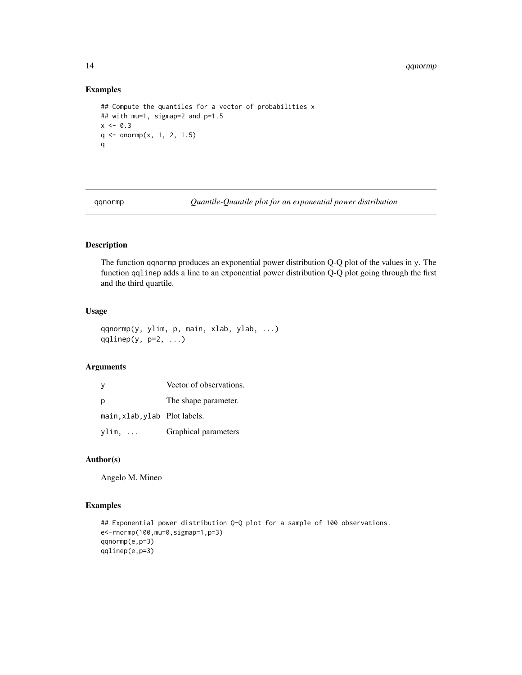14 qqnormp

#### Examples

```
## Compute the quantiles for a vector of probabilities x
## with mu=1, sigmap=2 and p=1.5
x \le -0.3q \leftarrow q \text{norm}(x, 1, 2, 1.5)q
```
qqnormp *Quantile-Quantile plot for an exponential power distribution*

### Description

The function qqnormp produces an exponential power distribution Q-Q plot of the values in y. The function qqlinep adds a line to an exponential power distribution Q-Q plot going through the first and the third quartile.

#### Usage

```
qqnormp(y, ylim, p, main, xlab, ylab, ...)
qqlinep(y, p=2, ...)
```
#### Arguments

| y                             | Vector of observations. |
|-------------------------------|-------------------------|
| p                             | The shape parameter.    |
| main, xlab, ylab Plot labels. |                         |
| ylim,                         | Graphical parameters    |

#### Author(s)

Angelo M. Mineo

#### Examples

```
## Exponential power distribution Q-Q plot for a sample of 100 observations.
e<-rnormp(100,mu=0,sigmap=1,p=3)
qqnormp(e,p=3)
qqlinep(e,p=3)
```
<span id="page-13-0"></span>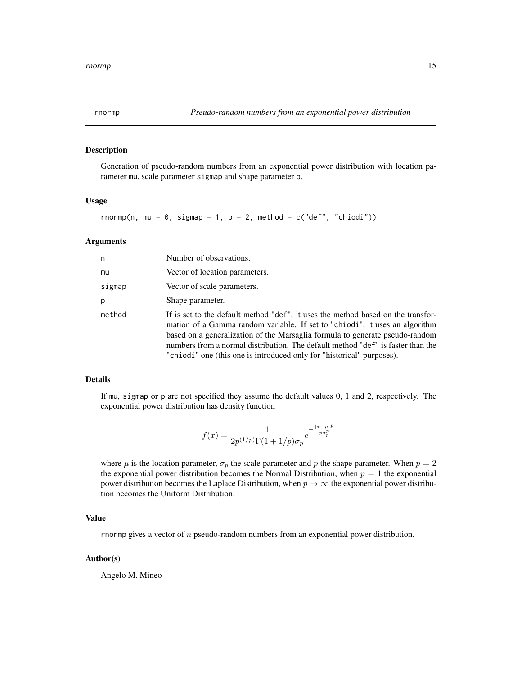#### <span id="page-14-0"></span>Description

Generation of pseudo-random numbers from an exponential power distribution with location parameter mu, scale parameter sigmap and shape parameter p.

#### Usage

```
rnormp(n, mu = 0, sigmap = 1, p = 2, method = c("def", "chiodi"))
```
#### Arguments

| n      | Number of observations.                                                                                                                                                                                                                                                                                                                                                                                     |
|--------|-------------------------------------------------------------------------------------------------------------------------------------------------------------------------------------------------------------------------------------------------------------------------------------------------------------------------------------------------------------------------------------------------------------|
| mu     | Vector of location parameters.                                                                                                                                                                                                                                                                                                                                                                              |
| sigmap | Vector of scale parameters.                                                                                                                                                                                                                                                                                                                                                                                 |
| p      | Shape parameter.                                                                                                                                                                                                                                                                                                                                                                                            |
| method | If is set to the default method "def", it uses the method based on the transfor-<br>mation of a Gamma random variable. If set to "chiodi", it uses an algorithm<br>based on a generalization of the Marsaglia formula to generate pseudo-random<br>numbers from a normal distribution. The default method "def" is faster than the<br>"chiodi" one (this one is introduced only for "historical" purposes). |

#### Details

If mu, sigmap or p are not specified they assume the default values 0, 1 and 2, respectively. The exponential power distribution has density function

$$
f(x) = \frac{1}{2p^{(1/p)}\Gamma(1+1/p)\sigma_p}e^{-\frac{|x-\mu|^p}{p\sigma_p^p}}
$$

where  $\mu$  is the location parameter,  $\sigma_p$  the scale parameter and p the shape parameter. When  $p = 2$ the exponential power distribution becomes the Normal Distribution, when  $p = 1$  the exponential power distribution becomes the Laplace Distribution, when  $p \to \infty$  the exponential power distribution becomes the Uniform Distribution.

#### Value

rnormp gives a vector of  $n$  pseudo-random numbers from an exponential power distribution.

#### Author(s)

Angelo M. Mineo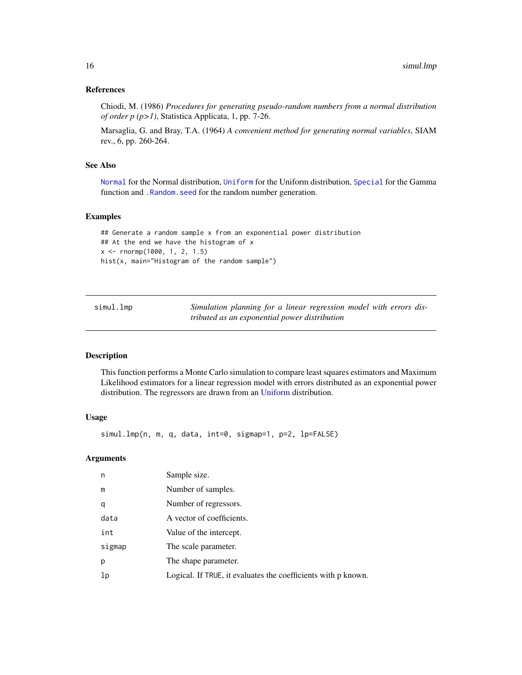#### <span id="page-15-0"></span>References

Chiodi, M. (1986) *Procedures for generating pseudo-random numbers from a normal distribution of order p (p>1)*, Statistica Applicata, 1, pp. 7-26.

Marsaglia, G. and Bray, T.A. (1964) *A convenient method for generating normal variables*, SIAM rev., 6, pp. 260-264.

#### See Also

[Normal](#page-0-0) for the Normal distribution, [Uniform](#page-0-0) for the Uniform distribution, [Special](#page-0-0) for the Gamma function and [.Random.seed](#page-0-0) for the random number generation.

#### Examples

```
## Generate a random sample x from an exponential power distribution
## At the end we have the histogram of x
x <- rnormp(1000, 1, 2, 1.5)
hist(x, main="Histogram of the random sample")
```
<span id="page-15-1"></span>simul.lmp *Simulation planning for a linear regression model with errors distributed as an exponential power distribution*

#### Description

This function performs a Monte Carlo simulation to compare least squares estimators and Maximum Likelihood estimators for a linear regression model with errors distributed as an exponential power distribution. The regressors are drawn from an [Uniform](#page-0-0) distribution.

#### Usage

simul.lmp(n, m, q, data, int=0, sigmap=1, p=2, lp=FALSE)

#### Arguments

| n      | Sample size.                                                  |
|--------|---------------------------------------------------------------|
| m      | Number of samples.                                            |
| q      | Number of regressors.                                         |
| data   | A vector of coefficients.                                     |
| int    | Value of the intercept.                                       |
| sigmap | The scale parameter.                                          |
| р      | The shape parameter.                                          |
| 1p     | Logical. If TRUE, it evaluates the coefficients with p known. |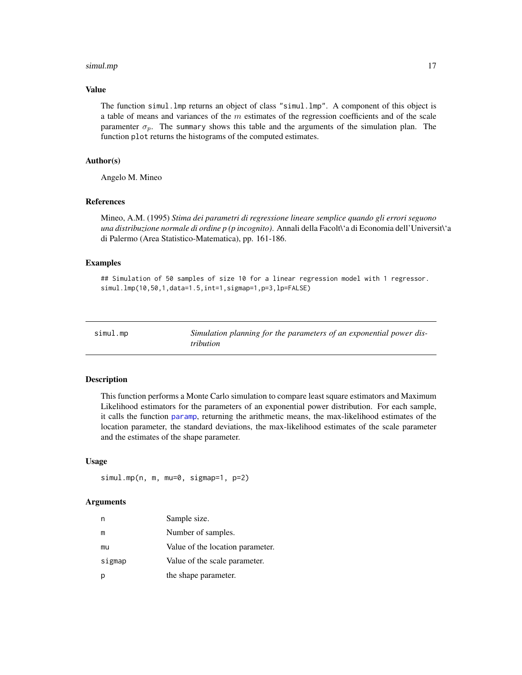#### <span id="page-16-0"></span>simul.mp and the state of the state of the state of the state of the state of the state of the state of the state of the state of the state of the state of the state of the state of the state of the state of the state of t

#### Value

The function simul.lmp returns an object of class "simul.lmp". A component of this object is a table of means and variances of the  $m$  estimates of the regression coefficients and of the scale paramenter  $\sigma_p$ . The summary shows this table and the arguments of the simulation plan. The function plot returns the histograms of the computed estimates.

#### Author(s)

Angelo M. Mineo

#### References

Mineo, A.M. (1995) *Stima dei parametri di regressione lineare semplice quando gli errori seguono una distribuzione normale di ordine p (p incognito)*. Annali della Facolt\'a di Economia dell'Universit\'a di Palermo (Area Statistico-Matematica), pp. 161-186.

#### Examples

## Simulation of 50 samples of size 10 for a linear regression model with 1 regressor. simul.lmp(10,50,1,data=1.5,int=1,sigmap=1,p=3,lp=FALSE)

<span id="page-16-1"></span>

| simul.mp | Simulation planning for the parameters of an exponential power dis- |
|----------|---------------------------------------------------------------------|
|          | <i>tribution</i>                                                    |

#### Description

This function performs a Monte Carlo simulation to compare least square estimators and Maximum Likelihood estimators for the parameters of an exponential power distribution. For each sample, it calls the function [paramp](#page-7-1), returning the arithmetic means, the max-likelihood estimates of the location parameter, the standard deviations, the max-likelihood estimates of the scale parameter and the estimates of the shape parameter.

#### Usage

```
simul.mp(n, m, mu=0, sigmap=1, p=2)
```
#### Arguments

| n      | Sample size.                     |
|--------|----------------------------------|
| m      | Number of samples.               |
| mu     | Value of the location parameter. |
| sigmap | Value of the scale parameter.    |
| р      | the shape parameter.             |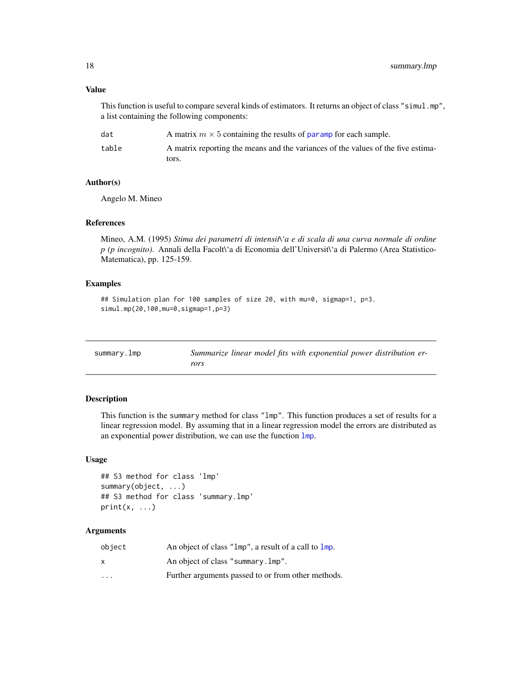#### Value

This function is useful to compare several kinds of estimators. It returns an object of class "simul.mp", a list containing the following components:

| dat   | A matrix $m \times 5$ containing the results of paramp for each sample.          |
|-------|----------------------------------------------------------------------------------|
| table | A matrix reporting the means and the variances of the values of the five estima- |
|       | tors.                                                                            |

#### Author(s)

Angelo M. Mineo

#### References

Mineo, A.M. (1995) *Stima dei parametri di intensit\'a e di scala di una curva normale di ordine p (p incognito)*. Annali della Facolt\'a di Economia dell'Universit\'a di Palermo (Area Statistico-Matematica), pp. 125-159.

#### Examples

```
## Simulation plan for 100 samples of size 20, with mu=0, sigmap=1, p=3.
simul.mp(20,100,mu=0,sigmap=1,p=3)
```

| summary. Imp | Summarize linear model fits with exponential power distribution er- |
|--------------|---------------------------------------------------------------------|
|              | rors                                                                |

#### Description

This function is the summary method for class "lmp". This function produces a set of results for a linear regression model. By assuming that in a linear regression model the errors are distributed as an exponential power distribution, we can use the function [lmp](#page-6-1).

#### Usage

```
## S3 method for class 'lmp'
summary(object, ...)
## S3 method for class 'summary.lmp'
print(x, \ldots)
```
#### Arguments

| object                  | An object of class "1mp", a result of a call to 1mp. |
|-------------------------|------------------------------------------------------|
| x                       | An object of class "summary. Imp".                   |
| $\cdot$ $\cdot$ $\cdot$ | Further arguments passed to or from other methods.   |

<span id="page-17-0"></span>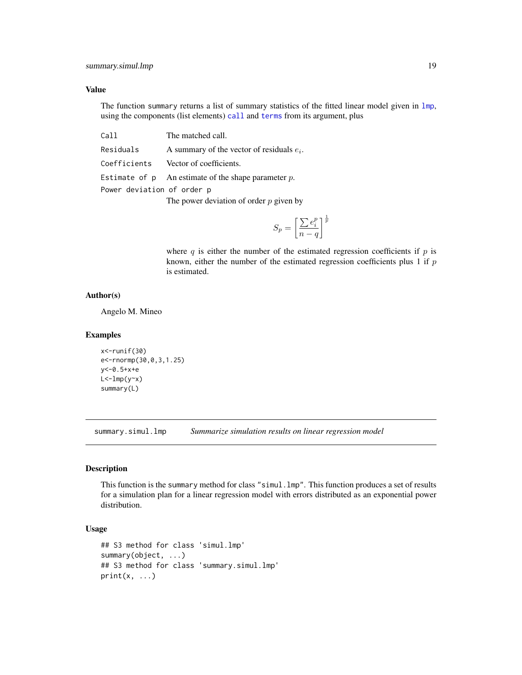#### <span id="page-18-0"></span>Value

The function summary returns a list of summary statistics of the fitted linear model given in [lmp](#page-6-1), using the components (list elements) [call](#page-0-0) and [terms](#page-0-0) from its argument, plus

| Call                       | The matched call.                                        |  |
|----------------------------|----------------------------------------------------------|--|
| Residuals                  | A summary of the vector of residuals $e_i$ .             |  |
| Coefficients               | Vector of coefficients.                                  |  |
|                            | Estimate of $p$ An estimate of the shape parameter $p$ . |  |
| Power deviation of order p |                                                          |  |

The power deviation of order  $p$  given by

$$
S_p = \left[\frac{\sum e_i^p}{n-q}\right]^{\frac{1}{p}}
$$

where q is either the number of the estimated regression coefficients if  $p$  is known, either the number of the estimated regression coefficients plus  $1$  if  $p$ is estimated.

#### Author(s)

Angelo M. Mineo

#### Examples

```
x<-runif(30)
e<-rnormp(30,0,3,1.25)
y<-0.5+x+e
L < -lmp(y \sim x)summary(L)
```
<span id="page-18-1"></span>summary.simul.lmp *Summarize simulation results on linear regression model*

#### Description

This function is the summary method for class "simul.lmp". This function produces a set of results for a simulation plan for a linear regression model with errors distributed as an exponential power distribution.

#### Usage

```
## S3 method for class 'simul.lmp'
summary(object, ...)
## S3 method for class 'summary.simul.lmp'
print(x, \ldots)
```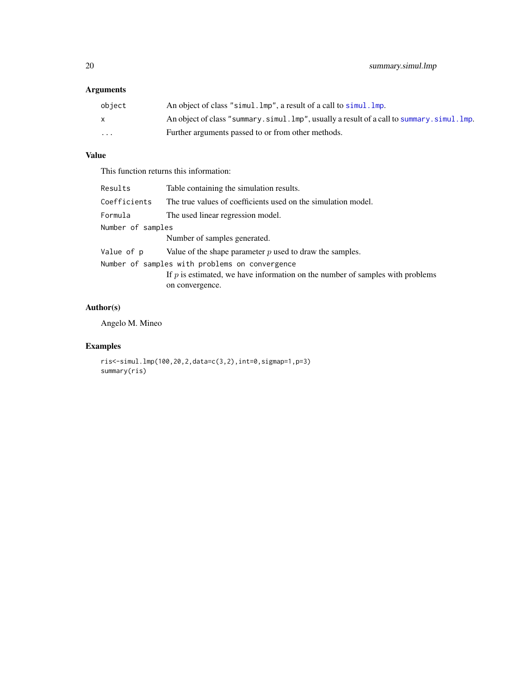# <span id="page-19-0"></span>Arguments

| object                  | An object of class "simul. lmp", a result of a call to simul. lmp.                       |
|-------------------------|------------------------------------------------------------------------------------------|
|                         | An object of class "summary.simul.lmp", usually a result of a call to summary.simul.lmp. |
| $\cdot$ $\cdot$ $\cdot$ | Further arguments passed to or from other methods.                                       |

# Value

This function returns this information:

| Results                                        | Table containing the simulation results.                                        |  |
|------------------------------------------------|---------------------------------------------------------------------------------|--|
| Coefficients                                   | The true values of coefficients used on the simulation model.                   |  |
| Formula                                        | The used linear regression model.                                               |  |
| Number of samples                              |                                                                                 |  |
|                                                | Number of samples generated.                                                    |  |
| Value of p                                     | Value of the shape parameter $p$ used to draw the samples.                      |  |
| Number of samples with problems on convergence |                                                                                 |  |
|                                                | If $p$ is estimated, we have information on the number of samples with problems |  |
|                                                | on convergence.                                                                 |  |

## Author(s)

Angelo M. Mineo

# Examples

```
ris<-simul.lmp(100,20,2,data=c(3,2),int=0,sigmap=1,p=3)
summary(ris)
```